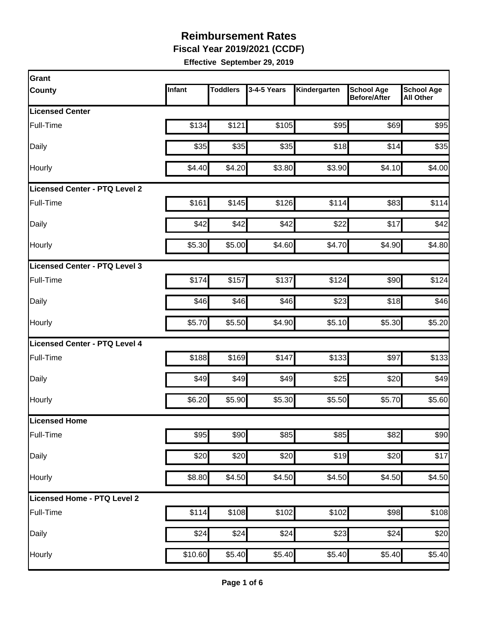**Fiscal Year 2019/2021 (CCDF)**

| Infant | <b>Toddlers</b> | 3-4-5 Years               | Kindergarten                                                                                                                | <b>School Age</b><br><b>Before/After</b>                                                                                    | <b>School Age</b><br><b>All Other</b>                                                                                                                        |
|--------|-----------------|---------------------------|-----------------------------------------------------------------------------------------------------------------------------|-----------------------------------------------------------------------------------------------------------------------------|--------------------------------------------------------------------------------------------------------------------------------------------------------------|
|        |                 |                           |                                                                                                                             |                                                                                                                             |                                                                                                                                                              |
| \$134  | \$121           |                           |                                                                                                                             | \$69                                                                                                                        | \$95                                                                                                                                                         |
| \$35   |                 |                           |                                                                                                                             | \$14                                                                                                                        | \$35                                                                                                                                                         |
| \$4.40 |                 |                           |                                                                                                                             | \$4.10                                                                                                                      | \$4.00                                                                                                                                                       |
|        |                 |                           |                                                                                                                             |                                                                                                                             |                                                                                                                                                              |
| \$161  |                 |                           |                                                                                                                             | \$83                                                                                                                        | \$114                                                                                                                                                        |
| \$42   | \$42            | \$42                      |                                                                                                                             | \$17                                                                                                                        | \$42                                                                                                                                                         |
| \$5.30 |                 |                           |                                                                                                                             | \$4.90                                                                                                                      | \$4.80                                                                                                                                                       |
|        |                 |                           |                                                                                                                             |                                                                                                                             |                                                                                                                                                              |
| \$174  | \$157           | \$137                     |                                                                                                                             | \$90                                                                                                                        | \$124                                                                                                                                                        |
| \$46   |                 |                           |                                                                                                                             | \$18                                                                                                                        | \$46                                                                                                                                                         |
| \$5.70 |                 |                           |                                                                                                                             | \$5.30                                                                                                                      | \$5.20                                                                                                                                                       |
|        |                 |                           |                                                                                                                             |                                                                                                                             |                                                                                                                                                              |
| \$188  |                 | \$147                     |                                                                                                                             | \$97                                                                                                                        | \$133                                                                                                                                                        |
| \$49   |                 |                           |                                                                                                                             | \$20                                                                                                                        | \$49                                                                                                                                                         |
| \$6.20 |                 |                           |                                                                                                                             | \$5.70                                                                                                                      | \$5.60                                                                                                                                                       |
|        |                 |                           |                                                                                                                             |                                                                                                                             |                                                                                                                                                              |
| \$95   |                 |                           |                                                                                                                             | \$82                                                                                                                        | \$90                                                                                                                                                         |
|        |                 |                           |                                                                                                                             | \$20                                                                                                                        | \$17                                                                                                                                                         |
|        |                 |                           |                                                                                                                             | \$4.50                                                                                                                      | \$4.50                                                                                                                                                       |
|        |                 |                           |                                                                                                                             |                                                                                                                             |                                                                                                                                                              |
| \$114  |                 |                           |                                                                                                                             | \$98                                                                                                                        | \$108                                                                                                                                                        |
| \$24   | \$24            | \$24                      |                                                                                                                             | \$24                                                                                                                        | \$20                                                                                                                                                         |
|        |                 |                           |                                                                                                                             | \$5.40                                                                                                                      | \$5.40                                                                                                                                                       |
|        |                 | \$20<br>\$8.80<br>\$10.60 | \$35<br>\$4.20<br>\$145<br>\$5.00<br>\$46<br>\$5.50<br>\$169<br>\$49<br>\$5.90<br>\$90<br>\$20<br>\$4.50<br>\$108<br>\$5.40 | \$105<br>\$35<br>\$3.80<br>\$126<br>\$4.60<br>\$46<br>\$4.90<br>\$49<br>\$5.30<br>\$85<br>\$20<br>\$4.50<br>\$102<br>\$5.40 | \$95<br>\$18<br>\$3.90<br>\$114<br>\$22<br>\$4.70<br>\$124<br>\$23<br>\$5.10<br>\$133<br>\$25<br>\$5.50<br>\$85<br>\$19<br>\$4.50<br>\$102<br>\$23<br>\$5.40 |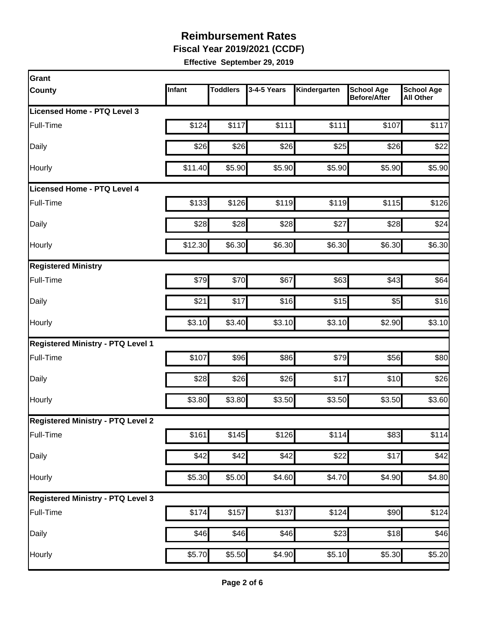**Fiscal Year 2019/2021 (CCDF)**

| <b>Grant</b>                             |         |                 |             |                    |                                          |                                       |
|------------------------------------------|---------|-----------------|-------------|--------------------|------------------------------------------|---------------------------------------|
| <b>County</b>                            | Infant  | <b>Toddlers</b> | 3-4-5 Years | Kindergarten       | <b>School Age</b><br><b>Before/After</b> | <b>School Age</b><br><b>All Other</b> |
| Licensed Home - PTQ Level 3              |         |                 |             |                    |                                          |                                       |
| Full-Time                                | \$124   | \$117           | \$111       | \$111              | \$107                                    | \$117                                 |
| Daily                                    | \$26    | \$26            | \$26        | \$25               | \$26                                     | \$22                                  |
| Hourly                                   | \$11.40 | \$5.90          | \$5.90      | \$5.90             | \$5.90                                   | \$5.90                                |
| <b>Licensed Home - PTQ Level 4</b>       |         |                 |             |                    |                                          |                                       |
| Full-Time                                | \$133   | \$126           | \$119       | \$119              | \$115                                    | \$126                                 |
| Daily                                    | \$28    | \$28            | \$28        | \$27               | \$28                                     | \$24                                  |
| Hourly                                   | \$12.30 | \$6.30          | \$6.30      | \$6.30             | \$6.30                                   | \$6.30                                |
| <b>Registered Ministry</b>               |         |                 |             |                    |                                          |                                       |
| Full-Time                                | \$79    | \$70            | \$67        | \$63               | \$43                                     | \$64                                  |
| Daily                                    | \$21    | \$17            | \$16        | \$15               | \$5                                      | \$16                                  |
| Hourly                                   | \$3.10  | \$3.40          | \$3.10      | \$3.10             | \$2.90                                   | \$3.10                                |
| <b>Registered Ministry - PTQ Level 1</b> |         |                 |             |                    |                                          |                                       |
| Full-Time                                | \$107   | \$96            | \$86        | \$79               | \$56                                     | \$80                                  |
| Daily                                    | \$28    | \$26            | \$26        | \$17               | \$10                                     | \$26                                  |
| Hourly                                   | \$3.80  | \$3.80          | \$3.50      | \$3.50             | \$3.50                                   | \$3.60                                |
| <b>Registered Ministry - PTQ Level 2</b> |         |                 |             |                    |                                          |                                       |
| Full-Time                                | \$161   | \$145           | \$126       | \$114              | \$83                                     | \$114                                 |
| Daily                                    | \$42    | \$42]           | \$42        | \$22               | \$17                                     | \$42                                  |
| Hourly                                   | \$5.30  | \$5.00          | \$4.60      | \$4.70             | \$4.90                                   | \$4.80                                |
| <b>Registered Ministry - PTQ Level 3</b> |         |                 |             |                    |                                          |                                       |
| Full-Time                                | \$174   | \$157           | \$137       | \$124              | \$90                                     | \$124                                 |
| Daily                                    | \$46    | \$46            | \$46        | \$23               | \$18                                     | \$46                                  |
| Hourly                                   | \$5.70  | \$5.50          | \$4.90      | $\overline{$5.10}$ | \$5.30                                   | \$5.20                                |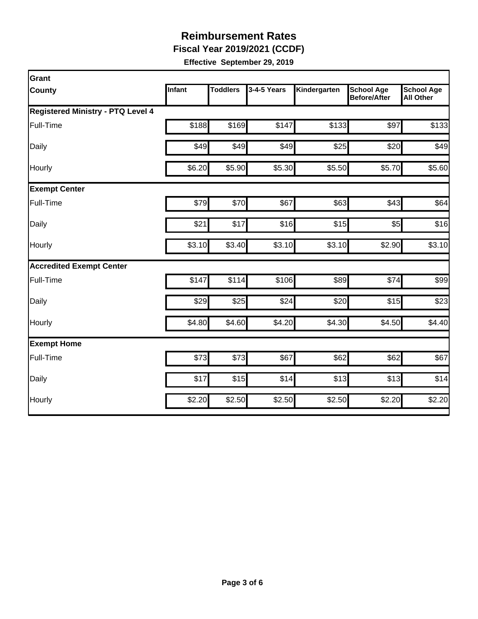**Fiscal Year 2019/2021 (CCDF)**

| Grant                                    |        |          |             |              |                                          |                                       |  |  |  |
|------------------------------------------|--------|----------|-------------|--------------|------------------------------------------|---------------------------------------|--|--|--|
| <b>County</b>                            | Infant | Toddlers | 3-4-5 Years | Kindergarten | <b>School Age</b><br><b>Before/After</b> | <b>School Age</b><br><b>All Other</b> |  |  |  |
| <b>Registered Ministry - PTQ Level 4</b> |        |          |             |              |                                          |                                       |  |  |  |
| Full-Time                                | \$188  | \$169    | \$147       | \$133        | \$97                                     | \$133                                 |  |  |  |
| Daily                                    | \$49   | \$49     | \$49        | \$25         | \$20                                     | \$49                                  |  |  |  |
| Hourly                                   | \$6.20 | \$5.90   | \$5.30      | \$5.50       | \$5.70                                   | \$5.60                                |  |  |  |
| <b>Exempt Center</b>                     |        |          |             |              |                                          |                                       |  |  |  |
| Full-Time                                | \$79   | \$70     | \$67        | \$63         | \$43                                     | \$64                                  |  |  |  |
| Daily                                    | \$21   | \$17     | \$16        | \$15         | \$5                                      | \$16                                  |  |  |  |
| Hourly                                   | \$3.10 | \$3.40   | \$3.10      | \$3.10       | \$2.90                                   | \$3.10                                |  |  |  |
| <b>Accredited Exempt Center</b>          |        |          |             |              |                                          |                                       |  |  |  |
| Full-Time                                | \$147  | \$114    | \$106       | \$89         | \$74                                     | \$99                                  |  |  |  |
| Daily                                    | \$29   | \$25     | \$24        | \$20         | \$15                                     | \$23                                  |  |  |  |
| Hourly                                   | \$4.80 | \$4.60   | \$4.20      | \$4.30       | \$4.50                                   | \$4.40                                |  |  |  |
| <b>Exempt Home</b>                       |        |          |             |              |                                          |                                       |  |  |  |
| Full-Time                                | \$73   | \$73     | \$67        | \$62         | \$62                                     | \$67                                  |  |  |  |
| Daily                                    | \$17   | \$15     | \$14        | \$13         | \$13                                     | \$14                                  |  |  |  |
| Hourly                                   | \$2.20 | \$2.50   | \$2.50      | \$2.50       | \$2.20                                   | \$2.20                                |  |  |  |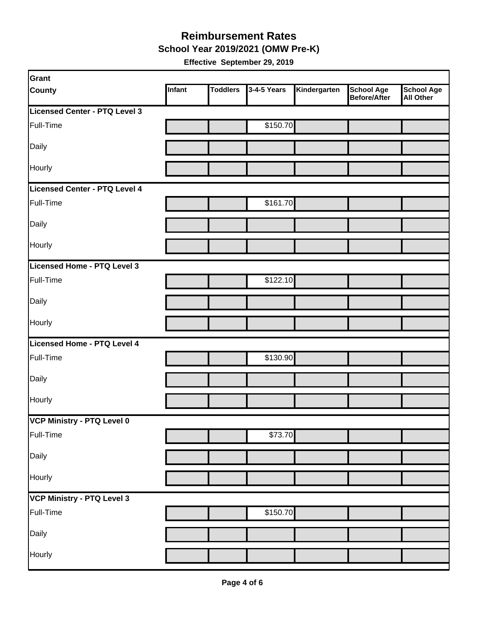**School Year 2019/2021 (OMW Pre-K)**

| Grant                         |        |                 |             |              |                                   |                                       |
|-------------------------------|--------|-----------------|-------------|--------------|-----------------------------------|---------------------------------------|
| <b>County</b>                 | Infant | <b>Toddlers</b> | 3-4-5 Years | Kindergarten | <b>School Age</b><br>Before/After | <b>School Age</b><br><b>All Other</b> |
| Licensed Center - PTQ Level 3 |        |                 |             |              |                                   |                                       |
| Full-Time                     |        |                 | \$150.70    |              |                                   |                                       |
| Daily                         |        |                 |             |              |                                   |                                       |
| Hourly                        |        |                 |             |              |                                   |                                       |
| Licensed Center - PTQ Level 4 |        |                 |             |              |                                   |                                       |
| Full-Time                     |        |                 | \$161.70    |              |                                   |                                       |
| Daily                         |        |                 |             |              |                                   |                                       |
| Hourly                        |        |                 |             |              |                                   |                                       |
| Licensed Home - PTQ Level 3   |        |                 |             |              |                                   |                                       |
| Full-Time                     |        |                 | \$122.10    |              |                                   |                                       |
| Daily                         |        |                 |             |              |                                   |                                       |
| Hourly                        |        |                 |             |              |                                   |                                       |
| Licensed Home - PTQ Level 4   |        |                 |             |              |                                   |                                       |
| Full-Time                     |        |                 | \$130.90    |              |                                   |                                       |
| Daily                         |        |                 |             |              |                                   |                                       |
| Hourly                        |        |                 |             |              |                                   |                                       |
| VCP Ministry - PTQ Level 0    |        |                 |             |              |                                   |                                       |
| Full-Time                     |        |                 | \$73.70     |              |                                   |                                       |
| Daily                         |        |                 |             |              |                                   |                                       |
| Hourly                        |        |                 |             |              |                                   |                                       |
| VCP Ministry - PTQ Level 3    |        |                 |             |              |                                   |                                       |
| Full-Time                     |        |                 | \$150.70    |              |                                   |                                       |
| Daily                         |        |                 |             |              |                                   |                                       |
| Hourly                        |        |                 |             |              |                                   |                                       |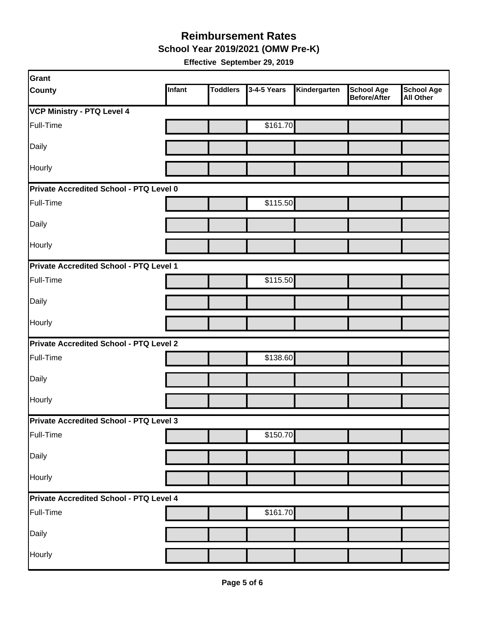**School Year 2019/2021 (OMW Pre-K)**

| Grant                                   |               |                 |             |              |                                   |                                       |
|-----------------------------------------|---------------|-----------------|-------------|--------------|-----------------------------------|---------------------------------------|
| <b>County</b>                           | <b>Infant</b> | <b>Toddlers</b> | 3-4-5 Years | Kindergarten | <b>School Age</b><br>Before/After | <b>School Age</b><br><b>All Other</b> |
| <b>VCP Ministry - PTQ Level 4</b>       |               |                 |             |              |                                   |                                       |
| Full-Time                               |               |                 | \$161.70    |              |                                   |                                       |
| Daily                                   |               |                 |             |              |                                   |                                       |
| Hourly                                  |               |                 |             |              |                                   |                                       |
| Private Accredited School - PTQ Level 0 |               |                 |             |              |                                   |                                       |
| Full-Time                               |               |                 | \$115.50    |              |                                   |                                       |
| Daily                                   |               |                 |             |              |                                   |                                       |
| Hourly                                  |               |                 |             |              |                                   |                                       |
| Private Accredited School - PTQ Level 1 |               |                 |             |              |                                   |                                       |
| Full-Time                               |               |                 | \$115.50    |              |                                   |                                       |
| Daily                                   |               |                 |             |              |                                   |                                       |
| Hourly                                  |               |                 |             |              |                                   |                                       |
| Private Accredited School - PTQ Level 2 |               |                 |             |              |                                   |                                       |
| Full-Time                               |               |                 | \$138.60    |              |                                   |                                       |
| Daily                                   |               |                 |             |              |                                   |                                       |
| Hourly                                  |               |                 |             |              |                                   |                                       |
| Private Accredited School - PTQ Level 3 |               |                 |             |              |                                   |                                       |
| Full-Time                               |               |                 | \$150.70    |              |                                   |                                       |
| Daily                                   |               |                 |             |              |                                   |                                       |
| Hourly                                  |               |                 |             |              |                                   |                                       |
| Private Accredited School - PTQ Level 4 |               |                 |             |              |                                   |                                       |
| Full-Time                               |               |                 | \$161.70    |              |                                   |                                       |
| Daily                                   |               |                 |             |              |                                   |                                       |
| Hourly                                  |               |                 |             |              |                                   |                                       |